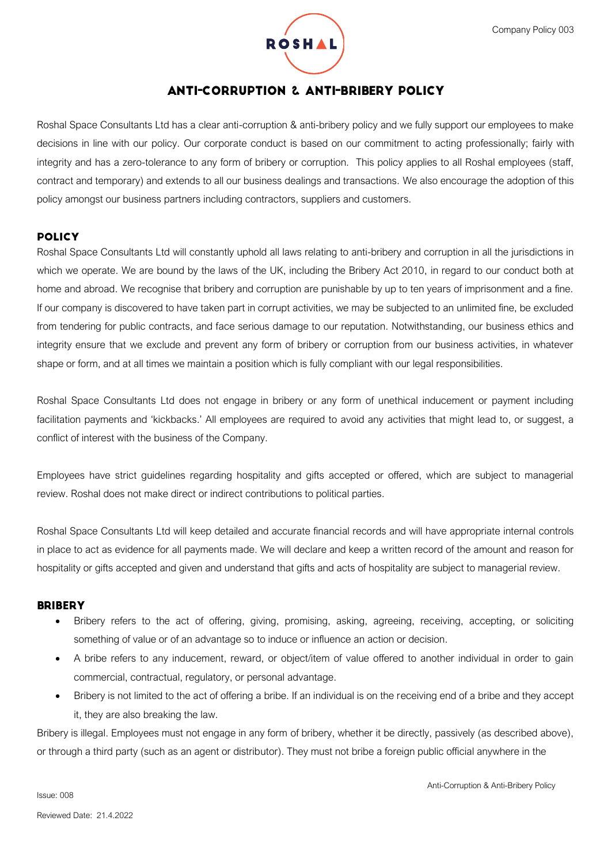

# **ANTI-CORRUPTION & ANTI-BRIBERY POLICY**

Roshal Space Consultants Ltd has a clear anti-corruption & anti-bribery policy and we fully support our employees to make decisions in line with our policy. Our corporate conduct is based on our commitment to acting professionally; fairly with integrity and has a zero-tolerance to any form of bribery or corruption. This policy applies to all Roshal employees (staff, contract and temporary) and extends to all our business dealings and transactions. We also encourage the adoption of this policy amongst our business partners including contractors, suppliers and customers.

### **POLICY**

Roshal Space Consultants Ltd will constantly uphold all laws relating to anti-bribery and corruption in all the jurisdictions in which we operate. We are bound by the laws of the UK, including the Bribery Act 2010, in regard to our conduct both at home and abroad. We recognise that bribery and corruption are punishable by up to ten years of imprisonment and a fine. If our company is discovered to have taken part in corrupt activities, we may be subjected to an unlimited fine, be excluded from tendering for public contracts, and face serious damage to our reputation. Notwithstanding, our business ethics and integrity ensure that we exclude and prevent any form of bribery or corruption from our business activities, in whatever shape or form, and at all times we maintain a position which is fully compliant with our legal responsibilities.

Roshal Space Consultants Ltd does not engage in bribery or any form of unethical inducement or payment including facilitation payments and 'kickbacks.' All employees are required to avoid any activities that might lead to, or suggest, a conflict of interest with the business of the Company.

Employees have strict guidelines regarding hospitality and gifts accepted or offered, which are subject to managerial review. Roshal does not make direct or indirect contributions to political parties.

Roshal Space Consultants Ltd will keep detailed and accurate financial records and will have appropriate internal controls in place to act as evidence for all payments made. We will declare and keep a written record of the amount and reason for hospitality or gifts accepted and given and understand that gifts and acts of hospitality are subject to managerial review.

#### **BRIBERY**

- Bribery refers to the act of offering, giving, promising, asking, agreeing, receiving, accepting, or soliciting something of value or of an advantage so to induce or influence an action or decision.
- A bribe refers to any inducement, reward, or object/item of value offered to another individual in order to gain commercial, contractual, regulatory, or personal advantage.
- Bribery is not limited to the act of offering a bribe. If an individual is on the receiving end of a bribe and they accept it, they are also breaking the law.

Bribery is illegal. Employees must not engage in any form of bribery, whether it be directly, passively (as described above), or through a third party (such as an agent or distributor). They must not bribe a foreign public official anywhere in the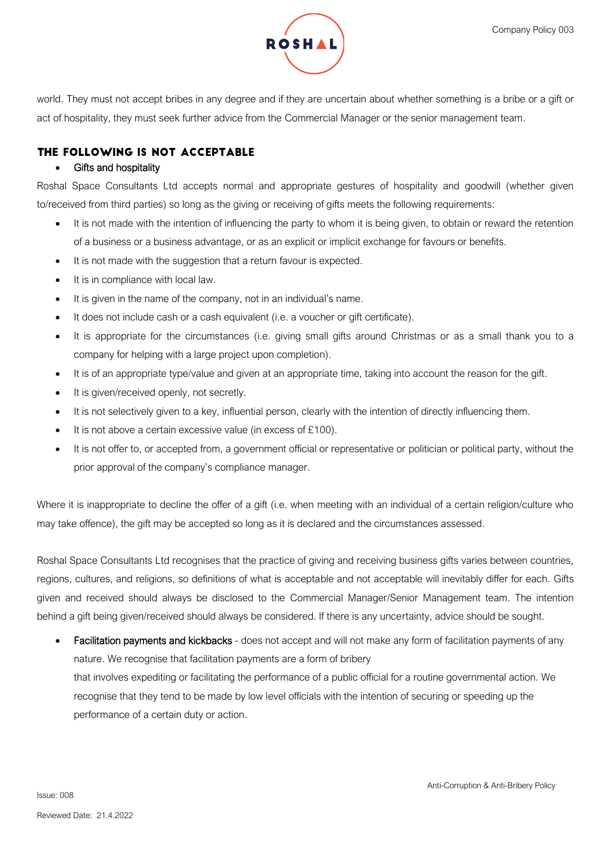

world. They must not accept bribes in any degree and if they are uncertain about whether something is a bribe or a gift or act of hospitality, they must seek further advice from the Commercial Manager or the senior management team.

# THE FOLLOWING IS NOT ACCEPTABLE

## **Gifts and hospitality**

Roshal Space Consultants Ltd accepts normal and appropriate gestures of hospitality and goodwill (whether given to/received from third parties) so long as the giving or receiving of gifts meets the following requirements:

- It is not made with the intention of influencing the party to whom it is being given, to obtain or reward the retention of a business or a business advantage, or as an explicit or implicit exchange for favours or benefits.
- It is not made with the suggestion that a return favour is expected.
- It is in compliance with local law.
- It is given in the name of the company, not in an individual's name.
- It does not include cash or a cash equivalent (i.e. a voucher or gift certificate).
- It is appropriate for the circumstances (i.e. giving small gifts around Christmas or as a small thank you to a company for helping with a large project upon completion).
- It is of an appropriate type/value and given at an appropriate time, taking into account the reason for the gift.
- It is given/received openly, not secretly.
- It is not selectively given to a key, influential person, clearly with the intention of directly influencing them.
- It is not above a certain excessive value (in excess of £100).
- It is not offer to, or accepted from, a government official or representative or politician or political party, without the prior approval of the company's compliance manager.

Where it is inappropriate to decline the offer of a gift (i.e. when meeting with an individual of a certain religion/culture who may take offence), the gift may be accepted so long as it is declared and the circumstances assessed.

Roshal Space Consultants Ltd recognises that the practice of giving and receiving business gifts varies between countries, regions, cultures, and religions, so definitions of what is acceptable and not acceptable will inevitably differ for each. Gifts given and received should always be disclosed to the Commercial Manager/Senior Management team. The intention behind a gift being given/received should always be considered. If there is any uncertainty, advice should be sought.

Facilitation payments and kickbacks - does not accept and will not make any form of facilitation payments of any nature. We recognise that facilitation payments are a form of bribery that involves expediting or facilitating the performance of a public official for a routine governmental action. We recognise that they tend to be made by low level officials with the intention of securing or speeding up the performance of a certain duty or action.